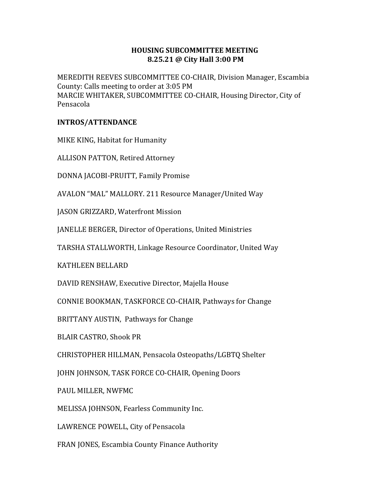## HOUSING SUBCOMMITTEE MEETING 8.25.21 @ City Hall 3:00 PM

MEREDITH REEVES SUBCOMMITTEE CO-CHAIR, Division Manager, Escambia County: Calls meeting to order at 3:05 PM MARCIE WHITAKER, SUBCOMMITTEE CO-CHAIR, Housing Director, City of Pensacola

## INTROS/ATTENDANCE

MIKE KING, Habitat for Humanity

ALLISON PATTON, Retired Attorney

DONNA JACOBI-PRUITT, Family Promise

AVALON "MAL" MALLORY. 211 Resource Manager/United Way

JASON GRIZZARD, Waterfront Mission

JANELLE BERGER, Director of Operations, United Ministries

TARSHA STALLWORTH, Linkage Resource Coordinator, United Way

KATHLEEN BELLARD

DAVID RENSHAW, Executive Director, Majella House

CONNIE BOOKMAN, TASKFORCE CO-CHAIR, Pathways for Change

BRITTANY AUSTIN, Pathways for Change

BLAIR CASTRO, Shook PR

CHRISTOPHER HILLMAN, Pensacola Osteopaths/LGBTQ Shelter

JOHN JOHNSON, TASK FORCE CO-CHAIR, Opening Doors

PAUL MILLER, NWFMC

MELISSA JOHNSON, Fearless Community Inc.

LAWRENCE POWELL, City of Pensacola

FRAN JONES, Escambia County Finance Authority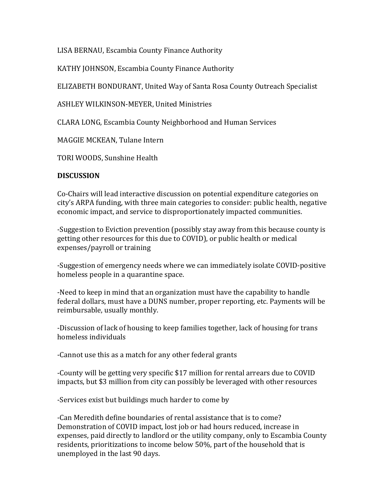LISA BERNAU, Escambia County Finance Authority

KATHY JOHNSON, Escambia County Finance Authority

ELIZABETH BONDURANT, United Way of Santa Rosa County Outreach Specialist

ASHLEY WILKINSON-MEYER, United Ministries

CLARA LONG, Escambia County Neighborhood and Human Services

MAGGIE MCKEAN, Tulane Intern

TORI WOODS, Sunshine Health

## **DISCUSSION**

Co-Chairs will lead interactive discussion on potential expenditure categories on city's ARPA funding, with three main categories to consider: public health, negative economic impact, and service to disproportionately impacted communities.

-Suggestion to Eviction prevention (possibly stay away from this because county is getting other resources for this due to COVID), or public health or medical expenses/payroll or training

-Suggestion of emergency needs where we can immediately isolate COVID-positive homeless people in a quarantine space.

-Need to keep in mind that an organization must have the capability to handle federal dollars, must have a DUNS number, proper reporting, etc. Payments will be reimbursable, usually monthly.

-Discussion of lack of housing to keep families together, lack of housing for trans homeless individuals

-Cannot use this as a match for any other federal grants

-County will be getting very specific \$17 million for rental arrears due to COVID impacts, but \$3 million from city can possibly be leveraged with other resources

-Services exist but buildings much harder to come by

-Can Meredith define boundaries of rental assistance that is to come? Demonstration of COVID impact, lost job or had hours reduced, increase in expenses, paid directly to landlord or the utility company, only to Escambia County residents, prioritizations to income below 50%, part of the household that is unemployed in the last 90 days.